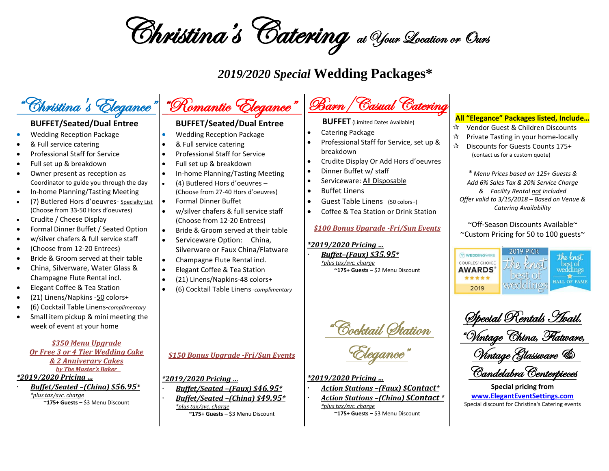Christina's Catering at Your Location or Ours

### *2019/2020 Special* **Wedding Packages\***

## "Christina's Elegance"

#### **BUFFET/Seated/Dual Entree**

- Wedding Reception Package
- & Full service catering
- Professional Staff for Service
- Full set up & breakdown
- Owner present as reception as Coordinator to guide you through the day
- In-home Planning/Tasting Meeting
- (7) Butlered Hors d'oeuvres- Specialty List (Choose from 33-50 Hors d'oeuvres)
- Crudite / Cheese Display
- Formal Dinner Buffet / Seated Option
- w/silver chafers & full service staff
- (Choose from 12-20 Entrees)
- Bride & Groom served at their table
- China, Silverware, Water Glass & Champagne Flute Rental incl.
- Elegant Coffee & Tea Station
- (21) Linens/Napkins -50 colors+
- (6) Cocktail Table Linens-*complimentary*
- Small item pickup & mini meeting the week of event at your home

*\$350 Menu Upgrade Or Free 3 or 4 Tier Wedding Cake & 2 Anniverary Cakes by The Master's Baker* 

#### *\*2019/2020 Pricing …*

 *Buffet/Seated –(China) \$56.95\* \*plus tax/svc. charge* **~175+ Guests –** \$3 Menu Discount

# "Romantic Elegance"

### **BUFFET/Seated/Dual Entree**

- Wedding Reception Package
- & Full service catering
- Professional Staff for Service
- Full set up & breakdown
- In-home Planning/Tasting Meeting
- (4) Butlered Hors d'oeuvres (Choose from 27-40 Hors d'oeuvres)
- Formal Dinner Buffet
- w/silver chafers & full service staff (Choose from 12-20 Entrees)
- Bride & Groom served at their table
- Serviceware Option: China, Silverware or Faux China/Flatware
- Champagne Flute Rental incl.
- Elegant Coffee & Tea Station
- (21) Linens/Napkins-48 colors+
- (6) Cocktail Table Linens*-complimentary*

*\$150 Bonus Upgrade -Fri/Sun Events*

*\*2019/2020 Pricing …*

 *Buffet/Seated –(Faux) \$46.95\* Buffet/Seated –(China) \$49.95\* \*plus tax/svc. charge* **~175+ Guests –** \$3 Menu Discount

# Barn/Casual Catering

**BUFFET** (Limited Dates Available)

- Catering Package
- Professional Staff for Service, set up & breakdown
- Crudite Display Or Add Hors d'oeuvres
- Dinner Buffet w/ staff
- Serviceware: All Disposable
- Buffet Linens
- Guest Table Linens (50 colors+)
- Coffee & Tea Station or Drink Station

### *\$100 Bonus Upgrade -Fri/Sun Events*

#### *\*2019/2020 Pricing …*

 *Buffet–(Faux) \$35.95\* \*plus tax/svc. charge*

**~175+ Guests –** \$2 Menu Discount

Cocktail (Itation

Elegance"

*\*2019/2020 Pricing …*

 *Action Stations –(Faux) \$Contact\* Action Stations –(China) \$Contact \* \*plus tax/svc. charge* **~175+ Guests –** \$3 Menu Discount

#### **All "Elegance" Packages listed, Include…**

- ☆ Vendor Guest & Children Discounts
- $\mathbf{\hat{x}}$  Private Tasting in your home-locally
- Discounts for Guests Counts 175+ (contact us for a custom quote)

*\* Menu Prices based on 125+ Guests & Add 6% Sales Tax & 20% Service Charge & Facility Rental not included Offer valid to 3/15/2018 – Based on Venue & Catering Availability*

~Off-Season Discounts Available~ ~Custom Pricing for 50 to 100 guests~



Special Rentals Avail. "Vintage China, Flatware, Vintage Glassware & Candelabra Centerpieces

**Special pricing from [www.ElegantEventSettings.com](http://www.eleganteventsettings.com/)** Special discount for Christina's Catering events